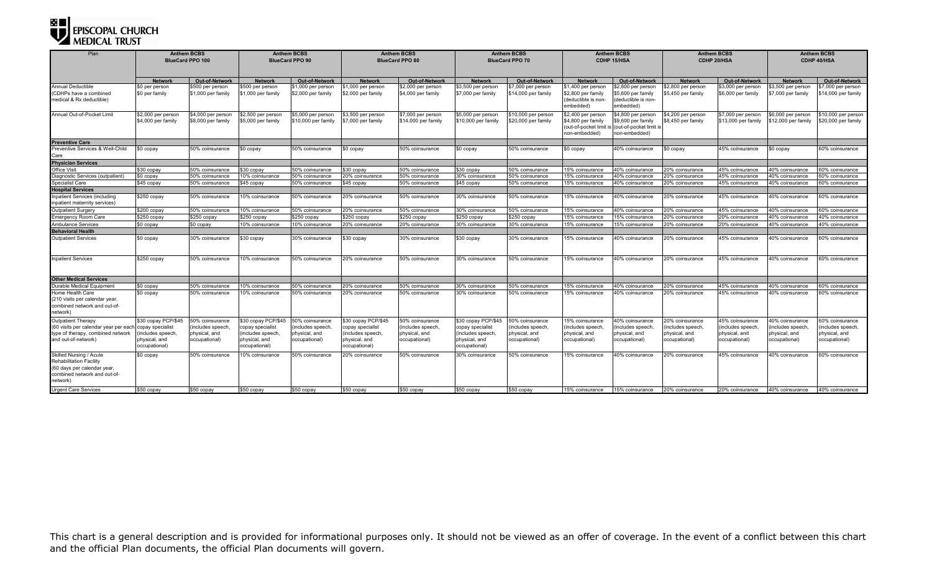| Plan                                                                                                                         | <b>Anthem BCBS</b><br><b>BlueCard PPO 100</b> |                                          | <b>Anthem BCBS</b><br><b>BlueCard PPO 90</b> |                                           | <b>Anthem BCBS</b><br><b>BlueCard PPO 80</b> |                                         | <b>Anthem BCBS</b><br><b>BlueCard PPO 70</b> |                                            | <b>Anthem BCBS</b><br><b>CDHP 15/HSA</b>                                             |                                                                                    | <b>Anthem BCBS</b><br>CDHP 20/HSA        |                                           | <b>Anthem BCBS</b><br>CDHP 40/HSA         |                                           |
|------------------------------------------------------------------------------------------------------------------------------|-----------------------------------------------|------------------------------------------|----------------------------------------------|-------------------------------------------|----------------------------------------------|-----------------------------------------|----------------------------------------------|--------------------------------------------|--------------------------------------------------------------------------------------|------------------------------------------------------------------------------------|------------------------------------------|-------------------------------------------|-------------------------------------------|-------------------------------------------|
|                                                                                                                              | <b>Networl</b>                                | <b>Out-of-Network</b>                    | <b>Network</b>                               | Out-of-Network                            | <b>Network</b>                               | Out-of-Network                          | <b>Network</b>                               | <b>Out-of-Network</b>                      | <b>Network</b>                                                                       | Out-of-Network                                                                     | <b>Network</b>                           | <b>Out-of-Network</b>                     | <b>Network</b>                            | Out-of-Network                            |
| <b>Annual Deductible</b><br>(CDHPs have a combined<br>medical & Rx deductible)                                               | \$0 per person<br>\$0 per family              | \$500 per person<br>\$1,000 per family   | \$500 per person<br>\$1,000 per family       | \$1,000 per person<br>\$2,000 per family  | \$1,000 per person<br>\$2,000 per family     | 2,000 per person<br>\$4,000 per family  | \$3,500 per person<br>\$7,000 per family     | \$7,000 per person<br>\$14,000 per family  | \$1,400 per person<br>\$2,800 per family<br>(deductible is non-<br>embedded)         | 32,800 per person<br>65,600 per family<br>deductible is non-<br>embedded)          | \$2,800 per person<br>\$5,450 per family | \$3,000 per person<br>\$6,000 per family  | \$3,500 per person<br>\$7,000 per family  | \$7,000 per person<br>\$14,000 per family |
| Annual Out-of-Pocket Limit                                                                                                   | \$2,000 per person<br>\$4,000 per family      | \$4,000 per person<br>\$8,000 per family | \$2,500 per person<br>\$5,000 per family     | \$5,000 per person<br>\$10,000 per family | \$3,500 per person<br>\$7,000 per family     | 7,000 per person<br>\$14,000 per family | \$5,000 per person<br>\$10,000 per family    | \$10,000 per person<br>\$20,000 per family | \$2,400 per person<br>\$4,800 per family<br>(out-of-pocket limit is<br>non-embedded) | \$4,800 per person<br>9,600 per family<br>(out-of-pocket limit is<br>non-embedded) | \$4,200 per person<br>\$8,450 per family | \$7,000 per person<br>\$13,000 per family | \$6,000 per person<br>\$12,000 per family | 10,000 per person<br>ኔ20,000 per family   |
| <b>Preventive Care</b>                                                                                                       |                                               |                                          |                                              |                                           |                                              |                                         |                                              |                                            |                                                                                      |                                                                                    |                                          |                                           |                                           |                                           |
| Preventive Services & Well-Child<br>Care                                                                                     | \$0 copay                                     | 50% coinsurance                          | \$0 copay                                    | 50% coinsurance                           | \$0 copay                                    | 50% coinsurance                         | \$0 copay                                    | 50% coinsurance                            | \$0 copay                                                                            | 40% coinsurance                                                                    | \$0 copay                                | 45% coinsurance                           | \$0 copay                                 | 60% coinsurance                           |
| <b>Physician Services</b>                                                                                                    |                                               |                                          |                                              |                                           |                                              |                                         |                                              |                                            |                                                                                      |                                                                                    |                                          |                                           |                                           |                                           |
| Office Visit                                                                                                                 | \$30 copav                                    | 50% coinsurance                          | \$30 copav                                   | 50% coinsurance                           | \$30 copav                                   | 50% coinsurance                         | \$30 copay                                   | 50% coinsurance                            | 15% coinsurance                                                                      | 40% coinsurance                                                                    | 20% coinsurance                          | 45% coinsurance                           | 40% coinsurance                           | 60% coinsurance                           |
| Diagnostic Services (outpatient)                                                                                             | \$0 copay                                     | 50% coinsurance                          | 10% coinsurance                              | 50% coinsurance                           | 20% coinsurance                              | 50% coinsurance                         | 30% coinsurance                              | 50% coinsurance                            | 15% coinsurance                                                                      | 40% coinsurance                                                                    | 20% coinsurance                          | 45% coinsurance                           | 40% coinsurance                           | 60% coinsurance                           |
| Specialist Care                                                                                                              | \$45 copay                                    | 50% coinsurance                          | \$45 copay                                   | 50% coinsurance                           | \$45 copay                                   | 50% coinsurance                         | \$45 copay                                   | 50% coinsurance                            | 15% coinsurance                                                                      | I0% coinsurance                                                                    | 20% coinsurance                          | 45% coinsurance                           | 40% coinsurance                           | 60% coinsurance                           |
| <b>Hospital Services</b>                                                                                                     |                                               |                                          |                                              |                                           |                                              |                                         |                                              |                                            |                                                                                      |                                                                                    |                                          |                                           |                                           |                                           |
| Inpatient Services (including<br>inpatient maternity services)                                                               | \$250 copay                                   | 50% coinsurance                          | 10% coinsurance                              | 50% coinsurance                           | 20% coinsurance                              | 50% coinsurance                         | 30% coinsurance                              | 50% coinsurance                            | 15% coinsurance                                                                      | 40% coinsurance                                                                    | 20% coinsurance                          | 45% coinsurance                           | 40% coinsurance                           | 60% coinsurance                           |
| Outpatient Surgery                                                                                                           | $$200$ copay                                  | 50% coinsurance                          | 10% coinsurance                              | 50% coinsurance                           | 20% coinsurance                              | 50% coinsurance                         | 30% coinsurance                              | 50% coinsurance                            | 15% coinsurance                                                                      | 40% coinsurance                                                                    | 20% coinsurance                          | 45% coinsurance                           | 40% coinsurance                           | 60% coinsurance                           |
| <b>Emergency Room Care</b>                                                                                                   | $$250$ copay                                  | \$250 copay                              | \$250 copay                                  | \$250 copay                               | \$250 copay                                  | $$250$ copay                            | \$250 copay                                  | \$250 copav                                | 15% coinsurance                                                                      | 5% coinsurance                                                                     | 20% coinsurance                          | 20% coinsurance                           | 40% coinsurance                           | 40% coinsurance                           |
| <b>Ambulance Services</b>                                                                                                    | \$0 copay                                     | \$0 copay                                | 10% coinsurance                              | 10% coinsurance                           | 20% coinsurance                              | 20% coinsurance                         | 30% coinsurance                              | 30% coinsurance                            | 15% coinsurance                                                                      | 5% coinsurance                                                                     | 20% coinsurance                          | 20% coinsurance                           | 40% coinsurance                           | 40% coinsurance                           |
| <b>Behavioral Health</b>                                                                                                     |                                               |                                          |                                              |                                           |                                              |                                         |                                              |                                            |                                                                                      |                                                                                    |                                          |                                           |                                           |                                           |
| <b>Outpatient Services</b>                                                                                                   | \$0 copay                                     | 30% coinsurance                          | \$30 copay                                   | 30% coinsurance                           | \$30 copay                                   | 30% coinsurance                         | \$30 copay                                   | 30% coinsurance                            | 15% coinsurance                                                                      | 40% coinsurance                                                                    | 20% coinsurance                          | 45% coinsurance                           | 40% coinsurance                           | 60% coinsurance                           |
| <b>Inpatient Services</b>                                                                                                    | \$250 copay                                   | 50% coinsurance                          | 10% coinsurance                              | 50% coinsurance                           | 20% coinsurance                              | 50% coinsurance                         | 30% coinsurance                              | 50% coinsurance                            | 15% coinsurance                                                                      | 40% coinsurance                                                                    | 20% coinsurance                          | 45% coinsurance                           | 40% coinsurance                           | 60% coinsurance                           |
| <b>Other Medical Services</b>                                                                                                |                                               |                                          |                                              |                                           |                                              |                                         |                                              |                                            |                                                                                      |                                                                                    |                                          |                                           |                                           |                                           |
| Durable Medical Equipment                                                                                                    | \$0 copay                                     | 50% coinsurance                          | 10% coinsurance                              | 50% coinsurance                           | 20% coinsurance                              | 50% coinsurance                         | 30% coinsurance                              | 50% coinsurance                            | 15% coinsurance                                                                      | 40% coinsurance                                                                    | 20% coinsurance                          | 45% coinsurance                           | 40% coinsurance                           | 60% coinsurance                           |
| Home Health Care<br>(210 visits per calendar year.<br>combined network and out-of-<br>network)                               | \$0 copay                                     | 50% coinsurance                          | 10% coinsurance                              | 50% coinsurance                           | 20% coinsurance                              | 50% coinsurance                         | 30% coinsurance                              | 50% coinsurance                            | 15% coinsurance                                                                      | 40% coinsurance                                                                    | 20% coinsurance                          | 45% coinsurance                           | 40% coinsurance                           | 60% coinsurance                           |
| <b>Outpatient Therapy</b>                                                                                                    | \$30 copay PCP/\$45                           | 50% coinsurance                          | \$30 copay PCP/\$45                          | 50% coinsurance                           | \$30 copay PCP/\$45                          | 50% coinsurance                         | \$30 copay PCP/\$45                          | 50% coinsurance                            | 15% coinsurance                                                                      | 40% coinsurance                                                                    | 20% coinsurance                          | 45% coinsurance                           | 40% coinsurance                           | 60% coinsurance                           |
| (60 visits per calendar year per each                                                                                        | copay specialist                              | (includes speech,                        | copay specialist                             | includes speech,                          | copay specialist                             | (includes speech,                       | copay specialist                             | (includes speech,                          | (includes speech,                                                                    | includes speech,                                                                   | includes speech.                         | (includes speech,                         | includes speech.                          | (includes speech,                         |
| type of therapy, combined network                                                                                            | includes speech.                              | physical, and                            | (includes speech,                            | physical, and                             | (includes speech,                            | physical, and                           | (includes speech,                            | physical, and                              | physical, and                                                                        | physical, and                                                                      | physical, and                            | physical, and                             | physical, and                             | physical, and                             |
| and out-of-network)                                                                                                          | physical, and<br>occupational)                | occupational)                            | physical, and<br>occupational)               | occupational)                             | physical, and<br>occupational)               | occupational)                           | physical, and<br>occupational)               | occupational)                              | occupational)                                                                        | occupational)                                                                      | occupational)                            | occupational)                             | occupational)                             | occupational)                             |
| Skilled Nursing / Acute<br>Rehabilitation Facility<br>(60 days per calendar year<br>combined network and out-of-<br>network) | \$0 copay                                     | 50% coinsurance                          | 10% coinsurance                              | 50% coinsurance                           | 20% coinsurance                              | 50% coinsurance                         | 30% coinsurance                              | 50% coinsurance                            | 15% coinsurance                                                                      | 40% coinsurance                                                                    | 20% coinsurance                          | 45% coinsurance                           | 40% coinsurance                           | 60% coinsurance                           |
| <b>Urgent Care Services</b>                                                                                                  | \$50 copay                                    | \$50 copay                               | \$50 copay                                   | \$50 copay                                | \$50 copay                                   | \$50 copay                              | \$50 copay                                   | \$50 copay                                 | 15% coinsurance                                                                      | 15% coinsurance                                                                    | 20% coinsurance                          | 20% coinsurance                           | 40% coinsurance                           | 40% coinsurance                           |

This chart is a general description and is provided for informational purposes only. It should not be viewed as an offer of coverage. In the event of a conflict between this chart and the official Plan documents, the official Plan documents will govern.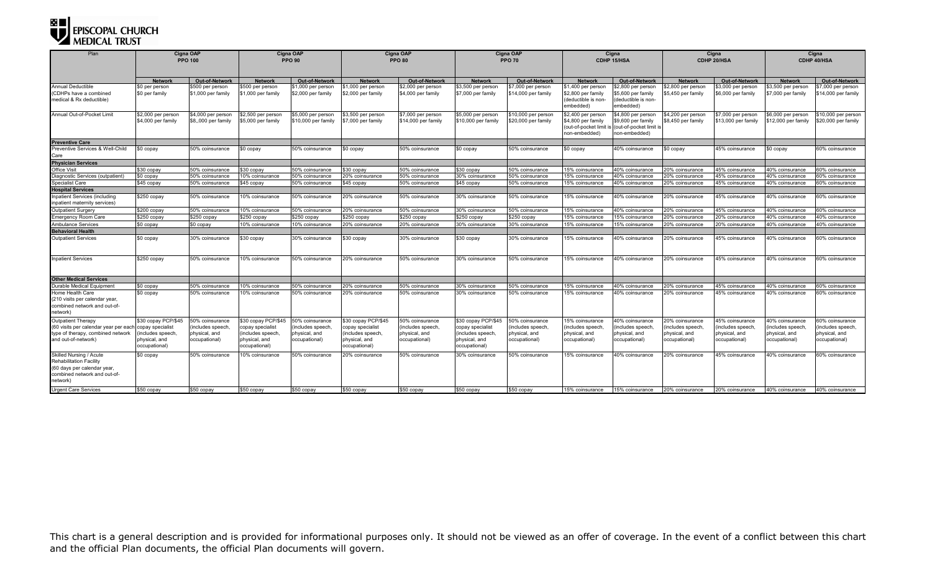## EPISCOPAL CHURCH

| Plan                                                                                                                                | Cigna OAP<br><b>PPO 100</b>              |                                           | Cigna OAP<br><b>PPO 90</b>               |                                           | Cigna OAP<br><b>PPO 80</b>               |                                           | Cigna OAP<br><b>PPO 70</b>               |                                            | Cigna<br>CDHP 15/HSA                                                                 |                                                                                      | Cigna<br>CDHP 20/HSA                     |                                           | Cigna<br>CDHP 40/HSA                      |                                            |
|-------------------------------------------------------------------------------------------------------------------------------------|------------------------------------------|-------------------------------------------|------------------------------------------|-------------------------------------------|------------------------------------------|-------------------------------------------|------------------------------------------|--------------------------------------------|--------------------------------------------------------------------------------------|--------------------------------------------------------------------------------------|------------------------------------------|-------------------------------------------|-------------------------------------------|--------------------------------------------|
|                                                                                                                                     |                                          |                                           |                                          |                                           |                                          |                                           |                                          |                                            |                                                                                      |                                                                                      |                                          |                                           |                                           |                                            |
|                                                                                                                                     | Networ                                   | Out-of-Network                            | Network                                  | Out-of-Network                            | <b>Network</b>                           | Out-of-Network                            | Network                                  | Out-of-Network                             | <b>Network</b>                                                                       | <b>Out-of-Network</b>                                                                | <b>Network</b>                           | Out-of-Network                            | <b>Network</b>                            | Out-of-Network                             |
| <b>Annual Deductible</b><br>(CDHPs have a combined<br>medical & Rx deductible)                                                      | \$0 per person<br>\$0 per family         | \$500 per person<br>\$1,000 per family    | \$500 per person<br>\$1,000 per family   | \$1,000 per person<br>\$2,000 per family  | \$1,000 per person<br>\$2,000 per family | \$2,000 per person<br>\$4,000 per family  | 3,500 per person<br>\$7,000 per family   | \$7,000 per person<br>\$14,000 per family  | \$1,400 per person<br>\$2,800 per family<br>(deductible is non-<br>embedded)         | \$2,800 per person<br>\$5,600 per family<br>deductible is non-<br>embedded)          | \$2,800 per person<br>\$5,450 per family | \$3,000 per person<br>\$6,000 per family  | \$3,500 per person<br>\$7,000 per family  | \$7,000 per person<br>\$14,000 per family  |
| Annual Out-of-Pocket Limit                                                                                                          | \$2,000 per person<br>\$4,000 per family | \$4,000 per person<br>\$8,,000 per family | \$2,500 per person<br>\$5,000 per family | \$5,000 per person<br>\$10,000 per family | \$3,500 per person<br>\$7,000 per family | \$7,000 per person<br>\$14,000 per family | \$5,000 per person<br>310,000 per family | \$10,000 per person<br>\$20,000 per family | \$2,400 per person<br>\$4,800 per family<br>(out-of-pocket limit is<br>non-embedded) | \$4,800 per person<br>\$9,600 per family<br>(out-of-pocket limit is<br>non-embedded) | \$4,200 per person<br>\$8,450 per family | \$7,000 per person<br>\$13,000 per family | \$6,000 per person<br>\$12,000 per family | \$10,000 per person<br>\$20,000 per family |
| <b>Preventive Care</b>                                                                                                              |                                          |                                           |                                          |                                           |                                          |                                           |                                          |                                            |                                                                                      |                                                                                      |                                          |                                           |                                           |                                            |
| Preventive Services & Well-Child<br>Care                                                                                            | \$0 copay                                | 50% coinsurance                           | \$0 copay                                | 50% coinsurance                           | \$0 copay                                | 50% coinsurance                           | ₿0 сорау                                 | 50% coinsurance                            | \$0 copay                                                                            | 40% coinsurance                                                                      | \$0 copay                                | 45% coinsurance                           | \$0 copay                                 | 60% coinsurance                            |
| <b>Physician Services</b>                                                                                                           |                                          |                                           |                                          |                                           |                                          |                                           |                                          |                                            |                                                                                      |                                                                                      |                                          |                                           |                                           |                                            |
| <b>Office Visit</b>                                                                                                                 | \$30 copay                               | 50% coinsurance                           | \$30 copav                               | 50% coinsurance                           | \$30 copay                               | 50% coinsurance                           | \$30 copav                               | 50% coinsurance                            | 15% coinsurance                                                                      | 40% coinsurance                                                                      | 20% coinsurance                          | 45% coinsurance                           | 40% coinsurance                           | 60% coinsurance                            |
| Diagnostic Services (outpatient)                                                                                                    | \$0 copay                                | 50% coinsurance                           | 0% coinsurance                           | 50% coinsurance                           | 20% coinsurance                          | 50% coinsurance                           | 30% coinsurance                          | 50% coinsurance                            | 15% coinsurance                                                                      | 40% coinsurance                                                                      | 20% coinsurance                          | 45% coinsurance                           | 40% coinsurance                           | <b>30% coinsurance</b>                     |
| Specialist Care                                                                                                                     | \$45 copay                               | 50% coinsurance                           | \$45 copay                               | 50% coinsurance                           | \$45 copay                               | 50% coinsurance                           | \$45 copay                               | 50% coinsurance                            | 15% coinsurance                                                                      | 40% coinsurance                                                                      | 20% coinsurance                          | 45% coinsurance                           | 40% coinsurance                           | 60% coinsurance                            |
| <b>Hospital Services</b>                                                                                                            |                                          |                                           |                                          |                                           |                                          |                                           |                                          |                                            |                                                                                      |                                                                                      |                                          |                                           |                                           |                                            |
| Inpatient Services (including<br>inpatient maternity services)                                                                      | $$250$ copay                             | 50% coinsurance                           | 0% coinsurance                           | 50% coinsurance                           | 20% coinsurance                          | 50% coinsurance                           | 30% coinsurance                          | 50% coinsurance                            | 15% coinsurance                                                                      | 40% coinsurance                                                                      | 20% coinsurance                          | 45% coinsurance                           | 40% coinsurance                           | 60% coinsurance                            |
| <b>Outpatient Surgery</b>                                                                                                           | \$200 copay                              | 50% coinsurance                           | 0% coinsurance                           | 50% coinsurance                           | 20% coinsurance                          | 50% coinsurance                           | 30% coinsurance                          | 50% coinsurance                            | 15% coinsurance                                                                      | 40% coinsurance                                                                      | 20% coinsurance                          | 45% coinsurance                           | 40% coinsurance                           | 60% coinsurance                            |
| <b>Emergency Room Care</b>                                                                                                          | \$250 copay                              | \$250 copay                               | \$250 copav                              | \$250 copav                               | \$250 copav                              | \$250 copay                               | \$250 copav                              | \$250 copav                                | 15% coinsurance                                                                      | 15% coinsurance                                                                      | 20% coinsurance                          | 20% coinsurance                           | 0% coinsurance                            | 40% coinsurance                            |
| <b>Ambulance Services</b>                                                                                                           | \$0 copay                                | \$0 copay                                 | 10% coinsurance                          | 10% coinsurance                           | 20% coinsurance                          | 20% coinsurance                           | 30% coinsurance                          | 30% coinsurance                            | 15% coinsurance                                                                      | 15% coinsurance                                                                      | 20% coinsurance                          | 20% coinsurance                           | I0% coinsurance                           | 40% coinsurance                            |
| <b>Behavioral Health</b>                                                                                                            |                                          |                                           |                                          |                                           |                                          |                                           |                                          |                                            |                                                                                      |                                                                                      |                                          |                                           |                                           |                                            |
| <b>Outpatient Services</b>                                                                                                          | \$0 copay                                | 30% coinsurance                           | \$30 copay                               | 30% coinsurance                           | \$30 copay                               | 30% coinsurance                           | \$30 сорау                               | 30% coinsurance                            | 15% coinsurance                                                                      | 40% coinsurance                                                                      | 20% coinsurance                          | 45% coinsurance                           | 40% coinsurance                           | 60% coinsurance                            |
| <b>Inpatient Services</b>                                                                                                           | \$250 copay                              | 50% coinsurance                           | 10% coinsurance                          | 50% coinsurance                           | 20% coinsurance                          | 50% coinsurance                           | 30% coinsurance                          | 50% coinsurance                            | 15% coinsurance                                                                      | 40% coinsurance                                                                      | 20% coinsurance                          | 45% coinsurance                           | 40% coinsurance                           | 60% coinsurance                            |
| <b>Other Medical Services</b>                                                                                                       |                                          |                                           |                                          |                                           |                                          |                                           |                                          |                                            |                                                                                      |                                                                                      |                                          |                                           |                                           |                                            |
| Durable Medical Equipment                                                                                                           | \$0 copay                                | 50% coinsurance                           | 0% coinsurance                           | 50% coinsurance                           | 20% coinsurance                          | 50% coinsurance                           | 30% coinsurance                          | 50% coinsurance                            | 15% coinsurance                                                                      | 40% coinsurance                                                                      | 20% coinsurance                          | 45% coinsurance                           | 40% coinsurance                           | 60% coinsurance                            |
| Home Health Care<br>(210 visits per calendar year,<br>combined network and out-of-<br>network)                                      | \$0 copay                                | 50% coinsurance                           | 0% coinsurance                           | 50% coinsurance                           | 20% coinsurance                          | 50% coinsurance                           | 30% coinsurance                          | 50% coinsurance                            | 15% coinsurance                                                                      | 40% coinsurance                                                                      | 20% coinsurance                          | 45% coinsurance                           | 40% coinsurance                           | 60% coinsurance                            |
| <b>Outpatient Therapy</b>                                                                                                           | \$30 copay PCP/\$45                      | 50% coinsurance                           | \$30 copay PCP/\$45                      | 50% coinsurance                           | \$30 copay PCP/\$45                      | 50% coinsurance                           | \$30 copay PCP/\$45                      | 50% coinsurance                            | 15% coinsurance                                                                      | 40% coinsurance                                                                      | 20% coinsurance                          | 45% coinsurance                           | 40% coinsurance                           | 60% coinsurance                            |
| (60 visits per calendar year per each                                                                                               | copay specialist                         | (includes speech,                         | copay specialist                         | includes speech,                          | copay specialist                         | includes speech                           | copay specialist                         | includes speech,                           | (includes speech,                                                                    | includes speech                                                                      | includes speech,                         | (includes speech                          | includes speech                           | includes speech.                           |
| type of therapy, combined network                                                                                                   | includes speech,                         | physical, and                             | includes speech,                         | physical, and                             | (includes speech,                        | physical, and                             | includes speech.                         | physical, and                              | physical, and                                                                        | physical, and                                                                        | physical, and                            | physical, and                             | physical, and                             | physical, and                              |
| and out-of-network)                                                                                                                 | physical, and<br>occupational)           | occupational)                             | physical, and<br>occupational)           | occupational)                             | physical, and<br>occupational)           | occupational)                             | physical, and<br>occupational)           | occupational)                              | occupational)                                                                        | occupational)                                                                        | occupational)                            | occupational)                             | occupational)                             | occupational)                              |
| Skilled Nursing / Acute<br><b>Rehabilitation Facility</b><br>(60 days per calendar year<br>combined network and out-of-<br>network) | \$0 copay                                | 50% coinsurance                           | 10% coinsurance                          | 50% coinsurance                           | 20% coinsurance                          | 50% coinsurance                           | 30% coinsurance                          | 50% coinsurance                            | 15% coinsurance                                                                      | 40% coinsurance                                                                      | 20% coinsurance                          | 45% coinsurance                           | 40% coinsurance                           | 60% coinsurance                            |
| <b>Urgent Care Services</b>                                                                                                         | \$50 copay                               | \$50 copay                                | \$50 copay                               | \$50 copay                                | \$50 copay                               | \$50 copay                                | \$50 copay                               | \$50 copay                                 | 15% coinsurance                                                                      | 15% coinsurance                                                                      | 20% coinsurance                          | 20% coinsurance                           | 40% coinsurance                           | 40% coinsurance                            |

This chart is a general description and is provided for informational purposes only. It should not be viewed as an offer of coverage. In the event of a conflict between this chart and the official Plan documents, the official Plan documents will govern.